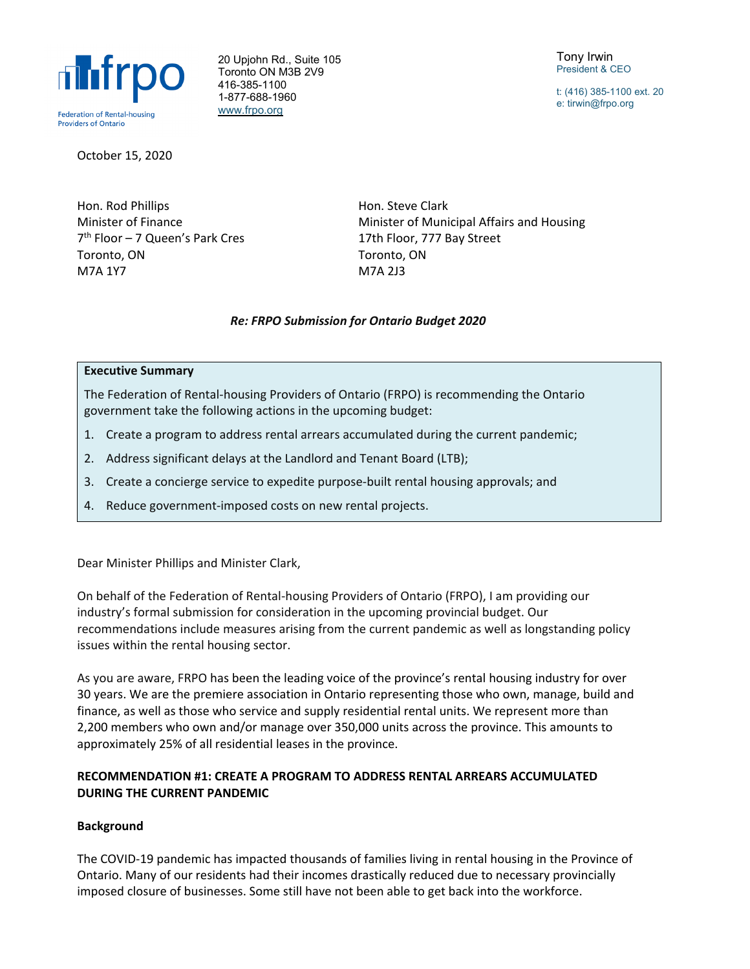

20 Upjohn Rd., Suite 105 Toronto ON M3B 2V9 416-385-1100 1-877-688-1960 [www.frpo.org](http://www.frpo.org/)

Tony Irwin President & CEO

t: (416) 385-1100 ext. 20 e: tirwin@frpo.org

October 15, 2020

Hon. Rod Phillips Minister of Finance 7th Floor – 7 Queen's Park Cres Toronto, ON M7A 1Y7

Hon. Steve Clark Minister of Municipal Affairs and Housing 17th Floor, 777 Bay Street Toronto, ON M7A 2J3

# *Re: FRPO Submission for Ontario Budget 2020*

#### **Executive Summary**

The Federation of Rental-housing Providers of Ontario (FRPO) is recommending the Ontario government take the following actions in the upcoming budget:

- 1. Create a program to address rental arrears accumulated during the current pandemic;
- 2. Address significant delays at the Landlord and Tenant Board (LTB);
- 3. Create a concierge service to expedite purpose-built rental housing approvals; and
- 4. Reduce government-imposed costs on new rental projects.

Dear Minister Phillips and Minister Clark,

On behalf of the Federation of Rental-housing Providers of Ontario (FRPO), I am providing our industry's formal submission for consideration in the upcoming provincial budget. Our recommendations include measures arising from the current pandemic as well as longstanding policy issues within the rental housing sector.

As you are aware, FRPO has been the leading voice of the province's rental housing industry for over 30 years. We are the premiere association in Ontario representing those who own, manage, build and finance, as well as those who service and supply residential rental units. We represent more than 2,200 members who own and/or manage over 350,000 units across the province. This amounts to approximately 25% of all residential leases in the province.

# **RECOMMENDATION #1: CREATE A PROGRAM TO ADDRESS RENTAL ARREARS ACCUMULATED DURING THE CURRENT PANDEMIC**

# **Background**

The COVID-19 pandemic has impacted thousands of families living in rental housing in the Province of Ontario. Many of our residents had their incomes drastically reduced due to necessary provincially imposed closure of businesses. Some still have not been able to get back into the workforce.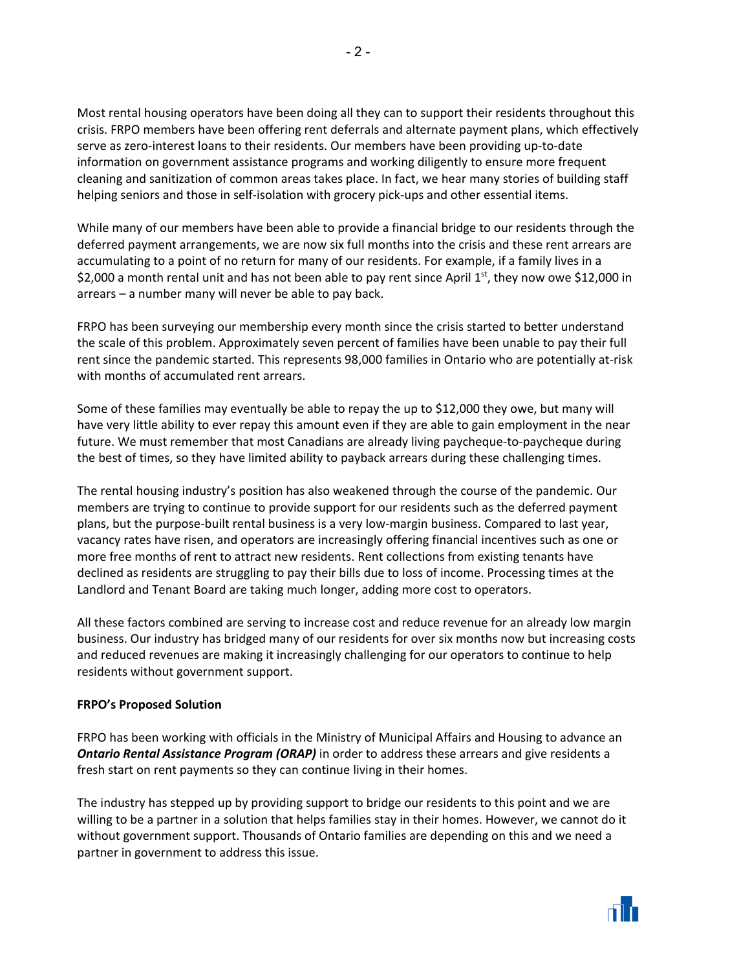Most rental housing operators have been doing all they can to support their residents throughout this crisis. FRPO members have been offering rent deferrals and alternate payment plans, which effectively serve as zero-interest loans to their residents. Our members have been providing up-to-date information on government assistance programs and working diligently to ensure more frequent cleaning and sanitization of common areas takes place. In fact, we hear many stories of building staff helping seniors and those in self-isolation with grocery pick-ups and other essential items.

While many of our members have been able to provide a financial bridge to our residents through the deferred payment arrangements, we are now six full months into the crisis and these rent arrears are accumulating to a point of no return for many of our residents. For example, if a family lives in a \$2,000 a month rental unit and has not been able to pay rent since April 1st, they now owe \$12,000 in arrears – a number many will never be able to pay back.

FRPO has been surveying our membership every month since the crisis started to better understand the scale of this problem. Approximately seven percent of families have been unable to pay their full rent since the pandemic started. This represents 98,000 families in Ontario who are potentially at-risk with months of accumulated rent arrears.

Some of these families may eventually be able to repay the up to \$12,000 they owe, but many will have very little ability to ever repay this amount even if they are able to gain employment in the near future. We must remember that most Canadians are already living paycheque-to-paycheque during the best of times, so they have limited ability to payback arrears during these challenging times.

The rental housing industry's position has also weakened through the course of the pandemic. Our members are trying to continue to provide support for our residents such as the deferred payment plans, but the purpose-built rental business is a very low-margin business. Compared to last year, vacancy rates have risen, and operators are increasingly offering financial incentives such as one or more free months of rent to attract new residents. Rent collections from existing tenants have declined as residents are struggling to pay their bills due to loss of income. Processing times at the Landlord and Tenant Board are taking much longer, adding more cost to operators.

All these factors combined are serving to increase cost and reduce revenue for an already low margin business. Our industry has bridged many of our residents for over six months now but increasing costs and reduced revenues are making it increasingly challenging for our operators to continue to help residents without government support.

# **FRPO's Proposed Solution**

FRPO has been working with officials in the Ministry of Municipal Affairs and Housing to advance an *Ontario Rental Assistance Program (ORAP)* in order to address these arrears and give residents a fresh start on rent payments so they can continue living in their homes.

The industry has stepped up by providing support to bridge our residents to this point and we are willing to be a partner in a solution that helps families stay in their homes. However, we cannot do it without government support. Thousands of Ontario families are depending on this and we need a partner in government to address this issue.

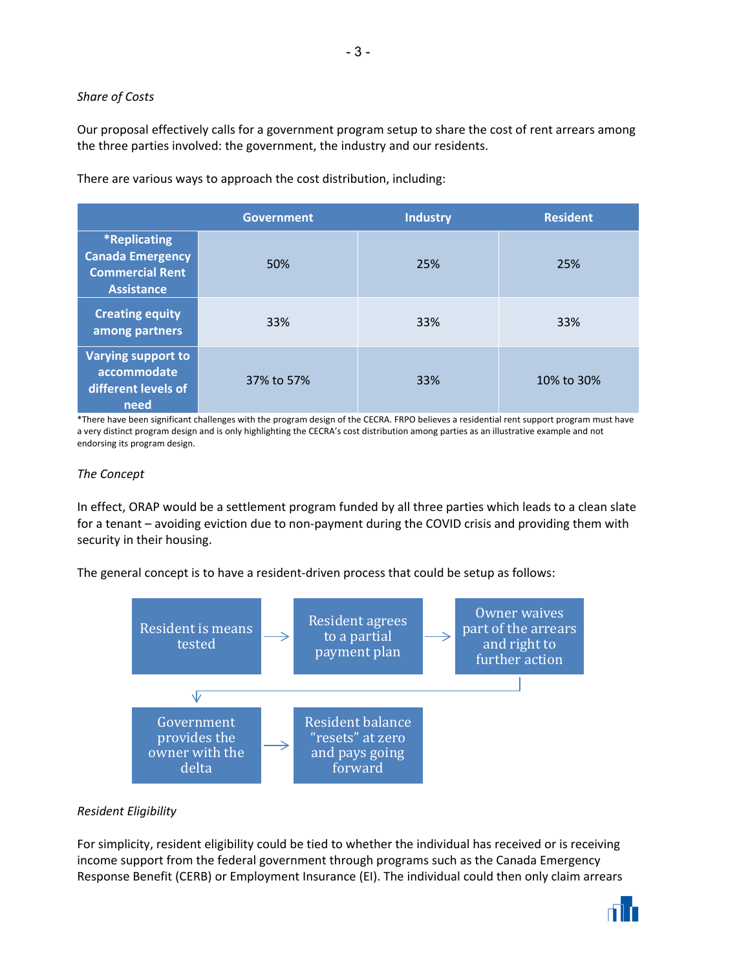# *Share of Costs*

Our proposal effectively calls for a government program setup to share the cost of rent arrears among the three parties involved: the government, the industry and our residents.

There are various ways to approach the cost distribution, including:

|                                                                                        | <b>Government</b> | <b>Industry</b> | <b>Resident</b> |
|----------------------------------------------------------------------------------------|-------------------|-----------------|-----------------|
| *Replicating<br><b>Canada Emergency</b><br><b>Commercial Rent</b><br><b>Assistance</b> | 50%               | 25%             | 25%             |
| <b>Creating equity</b><br>among partners                                               | 33%               | 33%             | 33%             |
| Varying support to<br>accommodate<br>different levels of<br>need                       | 37% to 57%        | 33%             | 10% to 30%      |

\*There have been significant challenges with the program design of the CECRA. FRPO believes a residential rent support program must have a very distinct program design and is only highlighting the CECRA's cost distribution among parties as an illustrative example and not endorsing its program design.

# *The Concept*

In effect, ORAP would be a settlement program funded by all three parties which leads to a clean slate for a tenant – avoiding eviction due to non-payment during the COVID crisis and providing them with security in their housing.

The general concept is to have a resident-driven process that could be setup as follows:



# *Resident Eligibility*

For simplicity, resident eligibility could be tied to whether the individual has received or is receiving income support from the federal government through programs such as the Canada Emergency Response Benefit (CERB) or Employment Insurance (EI). The individual could then only claim arrears



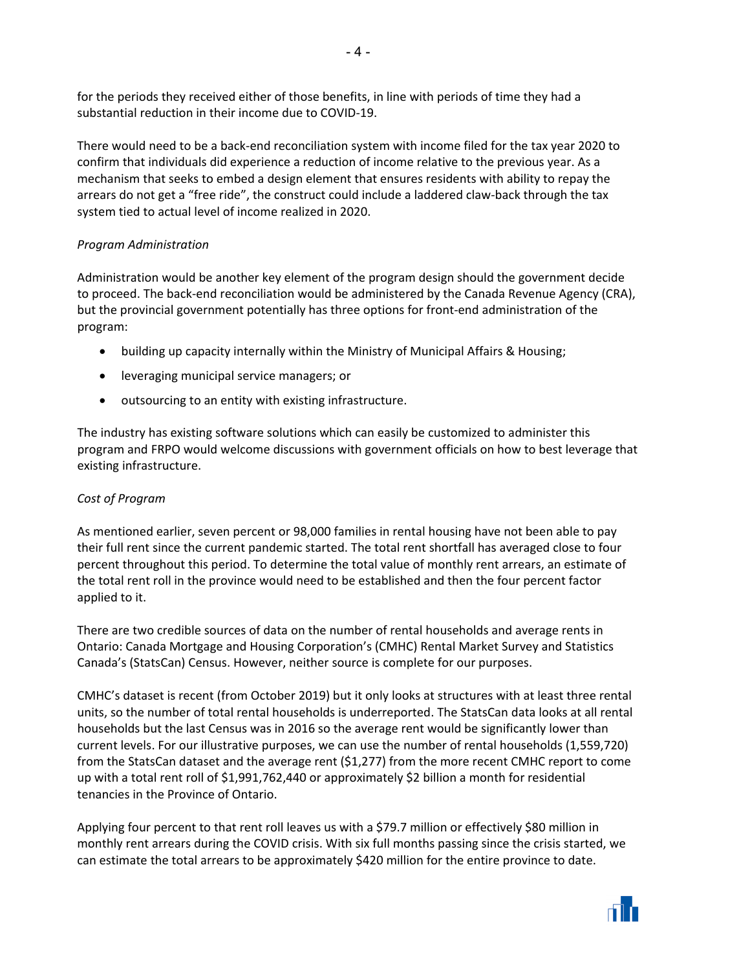for the periods they received either of those benefits, in line with periods of time they had a substantial reduction in their income due to COVID-19.

There would need to be a back-end reconciliation system with income filed for the tax year 2020 to confirm that individuals did experience a reduction of income relative to the previous year. As a mechanism that seeks to embed a design element that ensures residents with ability to repay the arrears do not get a "free ride", the construct could include a laddered claw-back through the tax system tied to actual level of income realized in 2020.

# *Program Administration*

Administration would be another key element of the program design should the government decide to proceed. The back-end reconciliation would be administered by the Canada Revenue Agency (CRA), but the provincial government potentially has three options for front-end administration of the program:

- building up capacity internally within the Ministry of Municipal Affairs & Housing;
- leveraging municipal service managers; or
- outsourcing to an entity with existing infrastructure.

The industry has existing software solutions which can easily be customized to administer this program and FRPO would welcome discussions with government officials on how to best leverage that existing infrastructure.

# *Cost of Program*

As mentioned earlier, seven percent or 98,000 families in rental housing have not been able to pay their full rent since the current pandemic started. The total rent shortfall has averaged close to four percent throughout this period. To determine the total value of monthly rent arrears, an estimate of the total rent roll in the province would need to be established and then the four percent factor applied to it.

There are two credible sources of data on the number of rental households and average rents in Ontario: Canada Mortgage and Housing Corporation's (CMHC) Rental Market Survey and Statistics Canada's (StatsCan) Census. However, neither source is complete for our purposes.

CMHC's dataset is recent (from October 2019) but it only looks at structures with at least three rental units, so the number of total rental households is underreported. The StatsCan data looks at all rental households but the last Census was in 2016 so the average rent would be significantly lower than current levels. For our illustrative purposes, we can use the number of rental households (1,559,720) from the StatsCan dataset and the average rent (\$1,277) from the more recent CMHC report to come up with a total rent roll of \$1,991,762,440 or approximately \$2 billion a month for residential tenancies in the Province of Ontario.

Applying four percent to that rent roll leaves us with a \$79.7 million or effectively \$80 million in monthly rent arrears during the COVID crisis. With six full months passing since the crisis started, we can estimate the total arrears to be approximately \$420 million for the entire province to date.

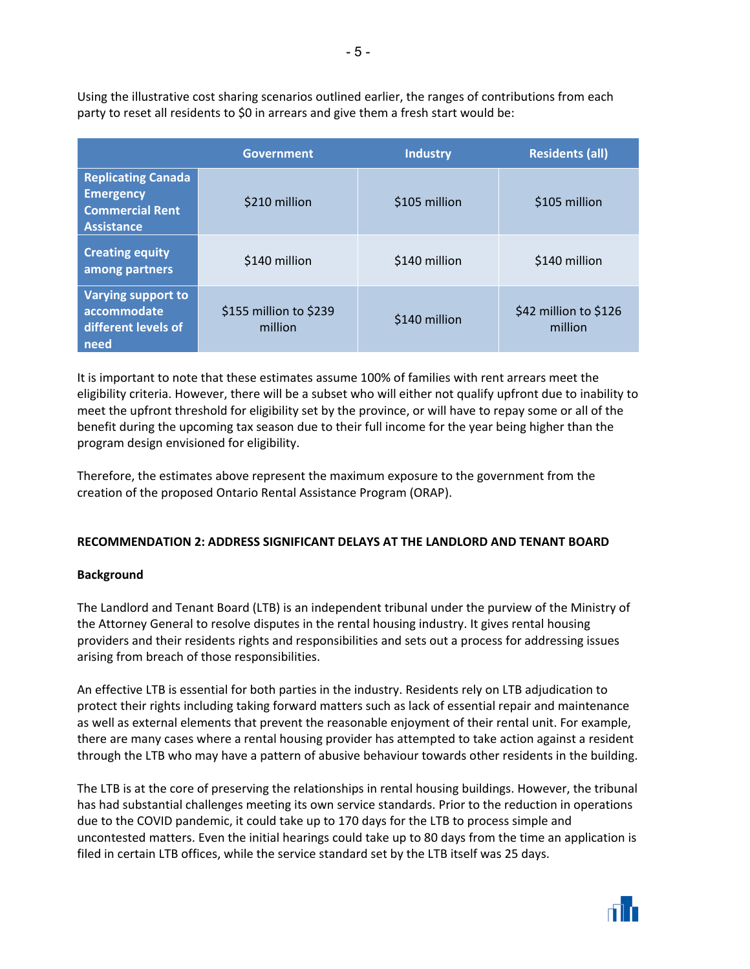Using the illustrative cost sharing scenarios outlined earlier, the ranges of contributions from each party to reset all residents to \$0 in arrears and give them a fresh start would be:

|                                                                                              | <b>Government</b>                 | <b>Industry</b> | <b>Residents (all)</b>           |
|----------------------------------------------------------------------------------------------|-----------------------------------|-----------------|----------------------------------|
| <b>Replicating Canada</b><br><b>Emergency</b><br><b>Commercial Rent</b><br><b>Assistance</b> | \$210 million                     | \$105 million   | \$105 million                    |
| <b>Creating equity</b><br>among partners                                                     | \$140 million                     | \$140 million   | \$140 million                    |
| Varying support to<br>accommodate<br>different levels of<br>need                             | \$155 million to \$239<br>million | \$140 million   | \$42 million to \$126<br>million |

It is important to note that these estimates assume 100% of families with rent arrears meet the eligibility criteria. However, there will be a subset who will either not qualify upfront due to inability to meet the upfront threshold for eligibility set by the province, or will have to repay some or all of the benefit during the upcoming tax season due to their full income for the year being higher than the program design envisioned for eligibility.

Therefore, the estimates above represent the maximum exposure to the government from the creation of the proposed Ontario Rental Assistance Program (ORAP).

# **RECOMMENDATION 2: ADDRESS SIGNIFICANT DELAYS AT THE LANDLORD AND TENANT BOARD**

# **Background**

The Landlord and Tenant Board (LTB) is an independent tribunal under the purview of the Ministry of the Attorney General to resolve disputes in the rental housing industry. It gives rental housing providers and their residents rights and responsibilities and sets out a process for addressing issues arising from breach of those responsibilities.

An effective LTB is essential for both parties in the industry. Residents rely on LTB adjudication to protect their rights including taking forward matters such as lack of essential repair and maintenance as well as external elements that prevent the reasonable enjoyment of their rental unit. For example, there are many cases where a rental housing provider has attempted to take action against a resident through the LTB who may have a pattern of abusive behaviour towards other residents in the building.

The LTB is at the core of preserving the relationships in rental housing buildings. However, the tribunal has had substantial challenges meeting its own service standards. Prior to the reduction in operations due to the COVID pandemic, it could take up to 170 days for the LTB to process simple and uncontested matters. Even the initial hearings could take up to 80 days from the time an application is filed in certain LTB offices, while the service standard set by the LTB itself was 25 days.

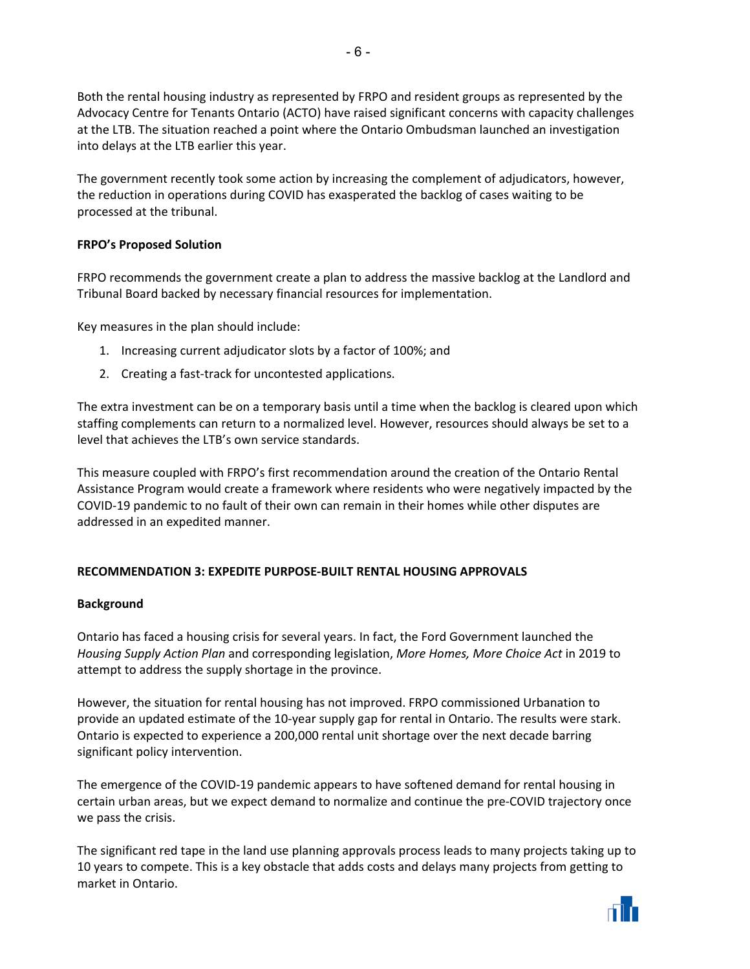Both the rental housing industry as represented by FRPO and resident groups as represented by the Advocacy Centre for Tenants Ontario (ACTO) have raised significant concerns with capacity challenges at the LTB. The situation reached a point where the Ontario Ombudsman launched an investigation into delays at the LTB earlier this year.

The government recently took some action by increasing the complement of adjudicators, however, the reduction in operations during COVID has exasperated the backlog of cases waiting to be processed at the tribunal.

# **FRPO's Proposed Solution**

FRPO recommends the government create a plan to address the massive backlog at the Landlord and Tribunal Board backed by necessary financial resources for implementation.

Key measures in the plan should include:

- 1. Increasing current adjudicator slots by a factor of 100%; and
- 2. Creating a fast-track for uncontested applications.

The extra investment can be on a temporary basis until a time when the backlog is cleared upon which staffing complements can return to a normalized level. However, resources should always be set to a level that achieves the LTB's own service standards.

This measure coupled with FRPO's first recommendation around the creation of the Ontario Rental Assistance Program would create a framework where residents who were negatively impacted by the COVID-19 pandemic to no fault of their own can remain in their homes while other disputes are addressed in an expedited manner.

# **RECOMMENDATION 3: EXPEDITE PURPOSE-BUILT RENTAL HOUSING APPROVALS**

# **Background**

Ontario has faced a housing crisis for several years. In fact, the Ford Government launched the *Housing Supply Action Plan* and corresponding legislation, *More Homes, More Choice Act* in 2019 to attempt to address the supply shortage in the province.

However, the situation for rental housing has not improved. FRPO commissioned Urbanation to provide an updated estimate of the 10-year supply gap for rental in Ontario. The results were stark. Ontario is expected to experience a 200,000 rental unit shortage over the next decade barring significant policy intervention.

The emergence of the COVID-19 pandemic appears to have softened demand for rental housing in certain urban areas, but we expect demand to normalize and continue the pre-COVID trajectory once we pass the crisis.

The significant red tape in the land use planning approvals process leads to many projects taking up to 10 years to compete. This is a key obstacle that adds costs and delays many projects from getting to market in Ontario.

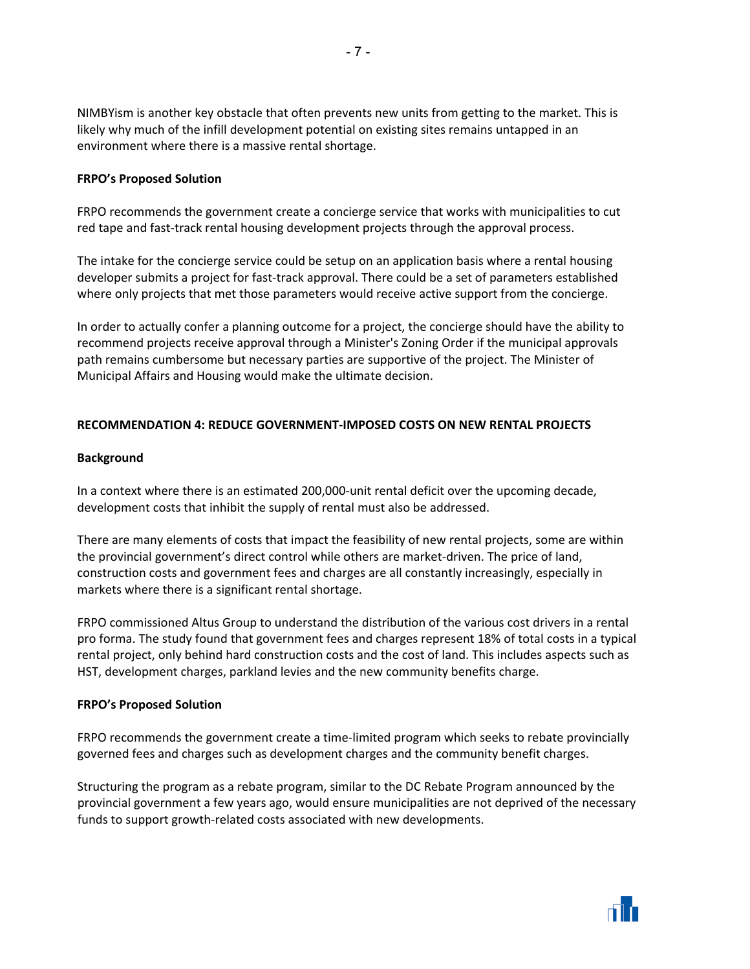NIMBYism is another key obstacle that often prevents new units from getting to the market. This is likely why much of the infill development potential on existing sites remains untapped in an environment where there is a massive rental shortage.

#### **FRPO's Proposed Solution**

FRPO recommends the government create a concierge service that works with municipalities to cut red tape and fast-track rental housing development projects through the approval process.

The intake for the concierge service could be setup on an application basis where a rental housing developer submits a project for fast-track approval. There could be a set of parameters established where only projects that met those parameters would receive active support from the concierge.

In order to actually confer a planning outcome for a project, the concierge should have the ability to recommend projects receive approval through a Minister's Zoning Order if the municipal approvals path remains cumbersome but necessary parties are supportive of the project. The Minister of Municipal Affairs and Housing would make the ultimate decision.

#### **RECOMMENDATION 4: REDUCE GOVERNMENT-IMPOSED COSTS ON NEW RENTAL PROJECTS**

#### **Background**

In a context where there is an estimated 200,000-unit rental deficit over the upcoming decade, development costs that inhibit the supply of rental must also be addressed.

There are many elements of costs that impact the feasibility of new rental projects, some are within the provincial government's direct control while others are market-driven. The price of land, construction costs and government fees and charges are all constantly increasingly, especially in markets where there is a significant rental shortage.

FRPO commissioned Altus Group to understand the distribution of the various cost drivers in a rental pro forma. The study found that government fees and charges represent 18% of total costs in a typical rental project, only behind hard construction costs and the cost of land. This includes aspects such as HST, development charges, parkland levies and the new community benefits charge.

#### **FRPO's Proposed Solution**

FRPO recommends the government create a time-limited program which seeks to rebate provincially governed fees and charges such as development charges and the community benefit charges.

Structuring the program as a rebate program, similar to the DC Rebate Program announced by the provincial government a few years ago, would ensure municipalities are not deprived of the necessary funds to support growth-related costs associated with new developments.